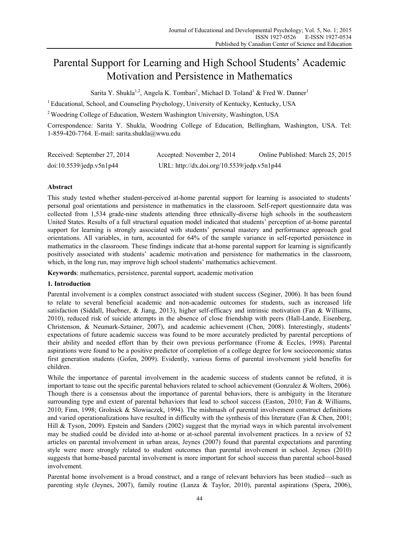# Parental Support for Learning and High School Students' Academic Motivation and Persistence in Mathematics

Sarita Y. Shukla<sup>1,2</sup>, Angela K. Tombari<sup>1</sup>, Michael D. Toland<sup>1</sup> & Fred W. Danner<sup>1</sup>

<sup>1</sup> Educational, School, and Counseling Psychology, University of Kentucky, Kentucky, USA

<sup>2</sup> Woodring College of Education, Western Washington University, Washington, USA

Correspondence: Sarita Y. Shukla, Woodring College of Education, Bellingham, Washington, USA. Tel: 1-859-420-7764. E-mail: sarita.shukla@wwu.edu

| Received: September 27, 2014 | Accepted: November 2, 2014                  | Online Published: March 25, 2015 |
|------------------------------|---------------------------------------------|----------------------------------|
| $doi:10.5539/j$ edp.v5n1p44  | URL: http://dx.doi.org/10.5539/jedp.v5n1p44 |                                  |

# **Abstract**

This study tested whether student-perceived at-home parental support for learning is associated to students' personal goal orientations and persistence in mathematics in the classroom. Self-report questionnaire data was collected from 1,534 grade-nine students attending three ethnically-diverse high schools in the southeastern United States. Results of a full structural equation model indicated that students' perception of at-home parental support for learning is strongly associated with students' personal mastery and performance approach goal orientations. All variables, in turn, accounted for 64% of the sample variance in self-reported persistence in mathematics in the classroom. These findings indicate that at-home parental support for learning is significantly positively associated with students' academic motivation and persistence for mathematics in the classroom, which, in the long run, may improve high school students' mathematics achievement.

**Keywords**: mathematics, persistence, parental support, academic motivation

# **1. Introduction**

Parental involvement is a complex construct associated with student success (Seginer, 2006). It has been found to relate to several beneficial academic and non-academic outcomes for students, such as increased life satisfaction (Siddall, Huebner, & Jiang, 2013), higher self-efficacy and intrinsic motivation (Fan & Williams, 2010), reduced risk of suicide attempts in the absence of close friendship with peers (Hall-Lande, Eisenberg, Christenson, & Neumark-Sztainer, 2007), and academic achievement (Chen, 2008). Interestingly, students' expectations of future academic success was found to be more accurately predicted by parental perceptions of their ability and needed effort than by their own previous performance (Frome & Eccles, 1998). Parental aspirations were found to be a positive predictor of completion of a college degree for low socioeconomic status first generation students (Gofen, 2009). Evidently, various forms of parental involvement yield benefits for children.

While the importance of parental involvement in the academic success of students cannot be refuted, it is important to tease out the specific parental behaviors related to school achievement (Gonzalez & Wolters, 2006). Though there is a consensus about the importance of parental behaviors, there is ambiguity in the literature surrounding type and extent of parental behaviors that lead to school success (Easton, 2010; Fan & Williams, 2010; Finn, 1998; Grolnick & Slowiaczek, 1994). The mishmash of parental involvement construct definitions and varied operationalizations have resulted in difficulty with the synthesis of this literature (Fan & Chen, 2001; Hill & Tyson, 2009). Epstein and Sanders (2002) suggest that the myriad ways in which parental involvement may be studied could be divided into at-home or at-school parental involvement practices. In a review of 52 articles on parental involvement in urban areas, Jeynes (2007) found that parental expectations and parenting style were more strongly related to student outcomes than parental involvement in school. Jeynes (2010) suggests that home-based parental involvement is more important for school success than parental school-based involvement.

Parental home involvement is a broad construct, and a range of relevant behaviors has been studied—such as parenting style (Jeynes, 2007), family routine (Lanza & Taylor, 2010), parental aspirations (Spera, 2006),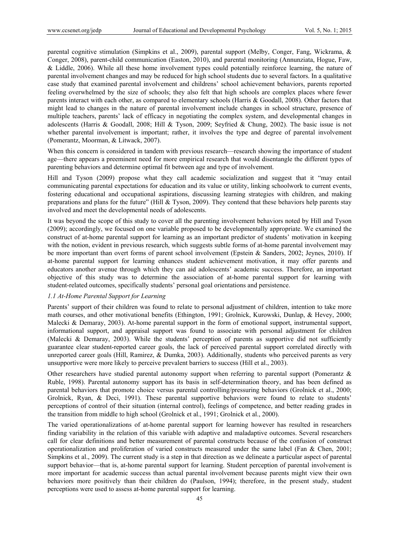parental cognitive stimulation (Simpkins et al., 2009), parental support (Melby, Conger, Fang, Wickrama, & Conger, 2008), parent-child communication (Easton, 2010), and parental monitoring (Annunziata, Hogue, Faw, & Liddle, 2006). While all these home involvement types could potentially reinforce learning, the nature of parental involvement changes and may be reduced for high school students due to several factors. In a qualitative case study that examined parental involvement and childrens' school achievement behaviors, parents reported feeling overwhelmed by the size of schools; they also felt that high schools are complex places where fewer parents interact with each other, as compared to elementary schools (Harris & Goodall, 2008). Other factors that might lead to changes in the nature of parental involvement include changes in school structure, presence of multiple teachers, parents' lack of efficacy in negotiating the complex system, and developmental changes in adolescents (Harris & Goodall, 2008; Hill & Tyson, 2009; Seyfried & Chung, 2002). The basic issue is not whether parental involvement is important; rather, it involves the type and degree of parental involvement (Pomerantz, Moorman, & Litwack, 2007).

When this concern is considered in tandem with previous research—research showing the importance of student age—there appears a preeminent need for more empirical research that would disentangle the different types of parenting behaviors and determine optimal fit between age and type of involvement.

Hill and Tyson (2009) propose what they call academic socialization and suggest that it "may entail communicating parental expectations for education and its value or utility, linking schoolwork to current events, fostering educational and occupational aspirations, discussing learning strategies with children, and making preparations and plans for the future" (Hill  $&$  Tyson, 2009). They contend that these behaviors help parents stay involved and meet the developmental needs of adolescents.

It was beyond the scope of this study to cover all the parenting involvement behaviors noted by Hill and Tyson (2009); accordingly, we focused on one variable proposed to be developmentally appropriate. We examined the construct of at-home parental support for learning as an important predictor of students' motivation in keeping with the notion, evident in previous research, which suggests subtle forms of at-home parental involvement may be more important than overt forms of parent school involvement (Epstein & Sanders, 2002; Jeynes, 2010). If at-home parental support for learning enhances student achievement motivation, it may offer parents and educators another avenue through which they can aid adolescents' academic success. Therefore, an important objective of this study was to determine the association of at-home parental support for learning with student-related outcomes, specifically students' personal goal orientations and persistence.

## *1.1 At-Home Parental Support for Learning*

Parents' support of their children was found to relate to personal adjustment of children, intention to take more math courses, and other motivational benefits (Ethington, 1991; Grolnick, Kurowski, Dunlap, & Hevey, 2000; Malecki & Demaray, 2003). At-home parental support in the form of emotional support, instrumental support, informational support, and appraisal support was found to associate with personal adjustment for children (Malecki & Demaray, 2003). While the students' perception of parents as supportive did not sufficiently guarantee clear student-reported career goals, the lack of perceived parental support correlated directly with unreported career goals (Hill, Ramirez, & Dumka, 2003). Additionally, students who perceived parents as very unsupportive were more likely to perceive prevalent barriers to success (Hill et al., 2003).

Other researchers have studied parental autonomy support when referring to parental support (Pomerantz & Ruble, 1998). Parental autonomy support has its basis in self-determination theory, and has been defined as parental behaviors that promote choice versus parental controlling/pressuring behaviors (Grolnick et al., 2000; Grolnick, Ryan, & Deci, 1991). These parental supportive behaviors were found to relate to students' perceptions of control of their situation (internal control), feelings of competence, and better reading grades in the transition from middle to high school (Grolnick et al., 1991; Grolnick et al., 2000).

The varied operationalizations of at-home parental support for learning however has resulted in researchers finding variability in the relation of this variable with adaptive and maladaptive outcomes. Several researchers call for clear definitions and better measurement of parental constructs because of the confusion of construct operationalization and proliferation of varied constructs measured under the same label (Fan & Chen, 2001; Simpkins et al., 2009). The current study is a step in that direction as we delineate a particular aspect of parental support behavior—that is, at-home parental support for learning. Student perception of parental involvement is more important for academic success than actual parental involvement because parents might view their own behaviors more positively than their children do (Paulson, 1994); therefore, in the present study, student perceptions were used to assess at-home parental support for learning.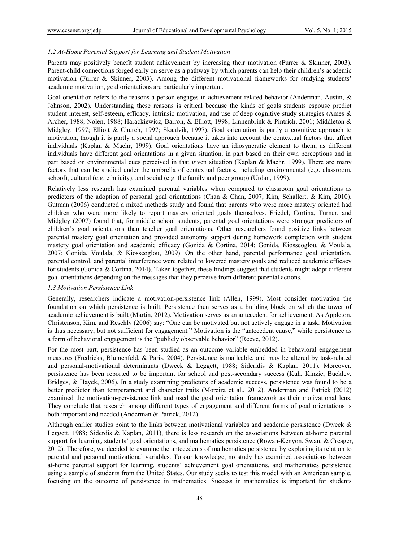#### *1.2 At-Home Parental Support for Learning and Student Motivation*

Parents may positively benefit student achievement by increasing their motivation (Furrer & Skinner, 2003). Parent-child connections forged early on serve as a pathway by which parents can help their children's academic motivation (Furrer & Skinner, 2003). Among the different motivational frameworks for studying students' academic motivation, goal orientations are particularly important.

Goal orientation refers to the reasons a person engages in achievement-related behavior (Anderman, Austin, & Johnson, 2002). Understanding these reasons is critical because the kinds of goals students espouse predict student interest, self-esteem, efficacy, intrinsic motivation, and use of deep cognitive study strategies (Ames & Archer, 1988; Nolen, 1988; Harackiewicz, Barron, & Elliott, 1998; Linnenbrink & Pintrich, 2001; Middleton & Midgley, 1997; Elliott & Church, 1997; Skaalvik, 1997). Goal orientation is partly a cognitive approach to motivation, though it is partly a social approach because it takes into account the contextual factors that affect individuals (Kaplan & Maehr, 1999). Goal orientations have an idiosyncratic element to them, as different individuals have different goal orientations in a given situation, in part based on their own perceptions and in part based on environmental cues perceived in that given situation (Kaplan & Maehr, 1999). There are many factors that can be studied under the umbrella of contextual factors, including environmental (e.g. classroom, school), cultural (e.g. ethnicity), and social (e.g. the family and peer group) (Urdan, 1999).

Relatively less research has examined parental variables when compared to classroom goal orientations as predictors of the adoption of personal goal orientations (Chan & Chan, 2007; Kim, Schallert, & Kim, 2010). Gutman (2006) conducted a mixed methods study and found that parents who were more mastery oriented had children who were more likely to report mastery oriented goals themselves. Friedel, Cortina, Turner, and Midgley (2007) found that, for middle school students, parental goal orientations were stronger predictors of children's goal orientations than teacher goal orientations. Other researchers found positive links between parental mastery goal orientation and provided autonomy support during homework completion with student mastery goal orientation and academic efficacy (Gonida & Cortina, 2014; Gonida, Kiosseoglou, & Voulala, 2007; Gonida, Voulala, & Kiosseoglou, 2009). On the other hand, parental performance goal orientation, parental control, and parental interference were related to lowered mastery goals and reduced academic efficacy for students (Gonida & Cortina, 2014). Taken together, these findings suggest that students might adopt different goal orientations depending on the messages that they perceive from different parental actions.

#### *1.3 Motivation Persistence Link*

Generally, researchers indicate a motivation-persistence link (Allen, 1999). Most consider motivation the foundation on which persistence is built. Persistence then serves as a building block on which the tower of academic achievement is built (Martin, 2012). Motivation serves as an antecedent for achievement. As Appleton, Christenson, Kim, and Reschly (2006) say: "One can be motivated but not actively engage in a task. Motivation is thus necessary, but not sufficient for engagement." Motivation is the "antecedent cause," while persistence as a form of behavioral engagement is the "publicly observable behavior" (Reeve, 2012).

For the most part, persistence has been studied as an outcome variable embedded in behavioral engagement measures (Fredricks, Blumenfeld, & Paris, 2004). Persistence is malleable, and may be altered by task-related and personal-motivational determinants (Dweck & Leggett, 1988; Sideridis & Kaplan, 2011). Moreover, persistence has been reported to be important for school and post-secondary success (Kuh, Kinzie, Buckley, Bridges, & Hayek, 2006). In a study examining predictors of academic success, persistence was found to be a better predictor than temperament and character traits (Moreira et al., 2012). Anderman and Patrick (2012) examined the motivation-persistence link and used the goal orientation framework as their motivational lens. They conclude that research among different types of engagement and different forms of goal orientations is both important and needed (Anderman & Patrick, 2012).

Although earlier studies point to the links between motivational variables and academic persistence (Dweck & Leggett, 1988; Siderdis & Kaplan, 2011), there is less research on the associations between at-home parental support for learning, students' goal orientations, and mathematics persistence (Rowan-Kenyon, Swan, & Creager, 2012). Therefore, we decided to examine the antecedents of mathematics persistence by exploring its relation to parental and personal motivational variables. To our knowledge, no study has examined associations between at-home parental support for learning, students' achievement goal orientations, and mathematics persistence using a sample of students from the United States. Our study seeks to test this model with an American sample, focusing on the outcome of persistence in mathematics. Success in mathematics is important for students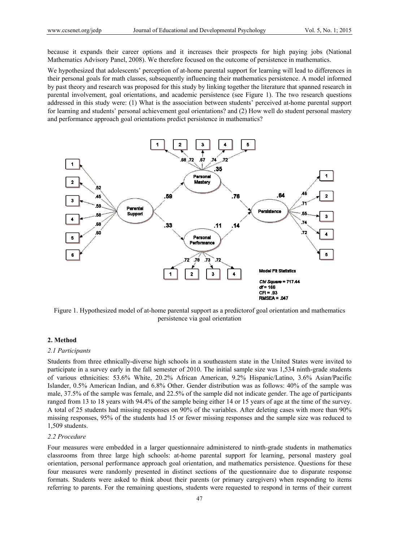because it expands their career options and it increases their prospects for high paying jobs (National Mathematics Advisory Panel, 2008). We therefore focused on the outcome of persistence in mathematics.

We hypothesized that adolescents' perception of at-home parental support for learning will lead to differences in their personal goals for math classes, subsequently influencing their mathematics persistence. A model informed by past theory and research was proposed for this study by linking together the literature that spanned research in parental involvement, goal orientations, and academic persistence (see Figure 1). The two research questions addressed in this study were: (1) What is the association between students' perceived at-home parental support for learning and students' personal achievement goal orientations? and (2) How well do student personal mastery and performance approach goal orientations predict persistence in mathematics?



Figure 1. Hypothesized model of at-home parental support as a predictorof goal orientation and mathematics persistence via goal orientation

### **2. Method**

## *2.1 Participants*

Students from three ethnically-diverse high schools in a southeastern state in the United States were invited to participate in a survey early in the fall semester of 2010. The initial sample size was 1,534 ninth-grade students of various ethnicities: 53.6% White, 20.2% African American, 9.2% Hispanic/Latino, 3.6% Asian/Pacific Islander, 0.5% American Indian, and 6.8% Other. Gender distribution was as follows: 40% of the sample was male, 37.5% of the sample was female, and 22.5% of the sample did not indicate gender. The age of participants ranged from 13 to 18 years with 94.4% of the sample being either 14 or 15 years of age at the time of the survey. A total of 25 students had missing responses on 90% of the variables. After deleting cases with more than 90% missing responses, 95% of the students had 15 or fewer missing responses and the sample size was reduced to 1,509 students.

#### *2.2 Procedure*

Four measures were embedded in a larger questionnaire administered to ninth-grade students in mathematics classrooms from three large high schools: at-home parental support for learning, personal mastery goal orientation, personal performance approach goal orientation, and mathematics persistence. Questions for these four measures were randomly presented in distinct sections of the questionnaire due to disparate response formats. Students were asked to think about their parents (or primary caregivers) when responding to items referring to parents. For the remaining questions, students were requested to respond in terms of their current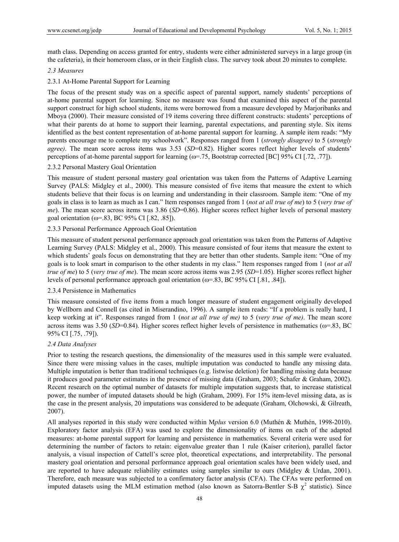math class. Depending on access granted for entry, students were either administered surveys in a large group (in the cafeteria), in their homeroom class, or in their English class. The survey took about 20 minutes to complete.

#### *2.3 Measures*

## 2.3.1 At-Home Parental Support for Learning

The focus of the present study was on a specific aspect of parental support, namely students' perceptions of at-home parental support for learning. Since no measure was found that examined this aspect of the parental support construct for high school students, items were borrowed from a measure developed by Marjoribanks and Mboya (2000). Their measure consisted of 19 items covering three different constructs: students' perceptions of what their parents do at home to support their learning, parental expectations, and parenting style. Six items identified as the best content representation of at-home parental support for learning. A sample item reads: "My parents encourage me to complete my schoolwork". Responses ranged from 1 (*strongly disagree)* to 5 (*strongly agree)*. The mean score across items was 3.53 (*SD*=0.82). Higher scores reflect higher levels of students' perceptions of at-home parental support for learning ( $\omega$ =.75, Bootstrap corrected [BC] 95% CI [.72, .77]).

## 2.3.2 Personal Mastery Goal Orientation

This measure of student personal mastery goal orientation was taken from the Patterns of Adaptive Learning Survey (PALS: Midgley et al., 2000). This measure consisted of five items that measure the extent to which students believe that their focus is on learning and understanding in their classroom. Sample item: "One of my goals in class is to learn as much as I can." Item responses ranged from 1 (*not at all true of me*) to 5 (*very true of me*). The mean score across items was 3.86 (*SD*=0.86). Higher scores reflect higher levels of personal mastery goal orientation ( $\omega$ =.83, BC 95% CI [.82, .85]).

## 2.3.3 Personal Performance Approach Goal Orientation

This measure of student personal performance approach goal orientation was taken from the Patterns of Adaptive Learning Survey (PALS: Midgley et al., 2000). This measure consisted of four items that measure the extent to which students' goals focus on demonstrating that they are better than other students. Sample item: "One of my goals is to look smart in comparison to the other students in my class." Item responses ranged from 1 (*not at all true of me*) to 5 (*very true of me*). The mean score across items was 2.95 (*SD*=1.05). Higher scores reflect higher levels of personal performance approach goal orientation ( $\omega$ =.83, BC 95% CI [.81, .84]).

## 2.3.4 Persistence in Mathematics

This measure consisted of five items from a much longer measure of student engagement originally developed by Wellborn and Connell (as cited in Miserandino, 1996). A sample item reads: "If a problem is really hard, I keep working at it". Responses ranged from 1 (*not at all true of me)* to 5 (*very true of me)*. The mean score across items was 3.50 (*SD*=0.84). Higher scores reflect higher levels of persistence in mathematics ( $\omega$ =.83, BC 95% CI [.75, .79]).

## *2.4 Data Analyses*

Prior to testing the research questions, the dimensionality of the measures used in this sample were evaluated. Since there were missing values in the cases, multiple imputation was conducted to handle any missing data. Multiple imputation is better than traditional techniques (e.g. listwise deletion) for handling missing data because it produces good parameter estimates in the presence of missing data (Graham, 2003; Schafer & Graham, 2002). Recent research on the optimal number of datasets for multiple imputation suggests that, to increase statistical power, the number of imputed datasets should be high (Graham, 2009). For 15% item-level missing data, as is the case in the present analysis, 20 imputations was considered to be adequate (Graham, Olchowski, & Gilreath, 2007).

All analyses reported in this study were conducted within M*plus* version 6.0 (Muthén & Muthén, 1998-2010). Exploratory factor analysis (EFA) was used to explore the dimensionality of items on each of the adapted measures: at-home parental support for learning and persistence in mathematics. Several criteria were used for determining the number of factors to retain: eigenvalue greater than 1 rule (Kaiser criterion), parallel factor analysis, a visual inspection of Cattell's scree plot, theoretical expectations, and interpretability. The personal mastery goal orientation and personal performance approach goal orientation scales have been widely used, and are reported to have adequate reliability estimates using samples similar to ours (Midgley  $\&$  Urdan, 2001). Therefore, each measure was subjected to a confirmatory factor analysis (CFA). The CFAs were performed on imputed datasets using the MLM estimation method (also known as Satorra-Bentler S-B  $\chi^2$  statistic). Since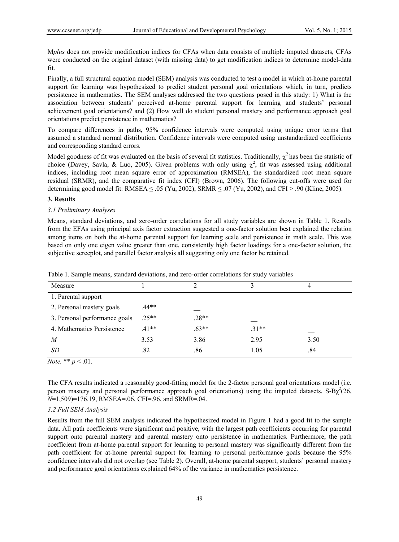M*plus* does not provide modification indices for CFAs when data consists of multiple imputed datasets, CFAs were conducted on the original dataset (with missing data) to get modification indices to determine model-data fit.

Finally, a full structural equation model (SEM) analysis was conducted to test a model in which at-home parental support for learning was hypothesized to predict student personal goal orientations which, in turn, predicts persistence in mathematics. The SEM analyses addressed the two questions posed in this study: 1) What is the association between students' perceived at-home parental support for learning and students' personal achievement goal orientations? and (2) How well do student personal mastery and performance approach goal orientations predict persistence in mathematics?

To compare differences in paths, 95% confidence intervals were computed using unique error terms that assumed a standard normal distribution. Confidence intervals were computed using unstandardized coefficients and corresponding standard errors.

Model goodness of fit was evaluated on the basis of several fit statistics. Traditionally,  $\chi^2$  has been the statistic of choice (Davey, Savla, & Luo, 2005). Given problems with only using  $\chi^2$ , fit was assessed using additional indices, including root mean square error of approximation (RMSEA), the standardized root mean square residual (SRMR), and the comparative fit index (CFI) (Brown, 2006). The following cut-offs were used for determining good model fit: RMSEA ≤ .05 (Yu, 2002), SRMR ≤ .07 (Yu, 2002), and CFI > .90 (Kline, 2005).

#### **3. Results**

## *3.1 Preliminary Analyses*

Means, standard deviations, and zero-order correlations for all study variables are shown in Table 1. Results from the EFAs using principal axis factor extraction suggested a one-factor solution best explained the relation among items on both the at-home parental support for learning scale and persistence in math scale. This was based on only one eigen value greater than one, consistently high factor loadings for a one-factor solution, the subjective screeplot, and parallel factor analysis all suggesting only one factor be retained.

| Measure                       |         |         |        |      |
|-------------------------------|---------|---------|--------|------|
| 1. Parental support           |         |         |        |      |
| 2. Personal mastery goals     | $.44**$ |         |        |      |
| 3. Personal performance goals | $25**$  | $.28**$ |        |      |
| 4. Mathematics Persistence    | $.41**$ | $.63**$ | $31**$ |      |
| M                             | 3.53    | 3.86    | 2.95   | 3.50 |
| SD                            | .82     | .86     | 1.05   | .84  |

Table 1. Sample means, standard deviations, and zero-order correlations for study variables

*Note.* \*\*  $p < .01$ .

The CFA results indicated a reasonably good-fitting model for the 2-factor personal goal orientations model (i.e. person mastery and personal performance approach goal orientations) using the imputed datasets,  $S-B\chi^2(26,$ *N*=1,509)=176.19, RMSEA=.06, CFI=.96, and SRMR=.04.

## *3.2 Full SEM Analysis*

Results from the full SEM analysis indicated the hypothesized model in Figure 1 had a good fit to the sample data. All path coefficients were significant and positive, with the largest path coefficients occurring for parental support onto parental mastery and parental mastery onto persistence in mathematics. Furthermore, the path coefficient from at-home parental support for learning to personal mastery was significantly different from the path coefficient for at-home parental support for learning to personal performance goals because the 95% confidence intervals did not overlap (see Table 2). Overall, at-home parental support, students' personal mastery and performance goal orientations explained 64% of the variance in mathematics persistence.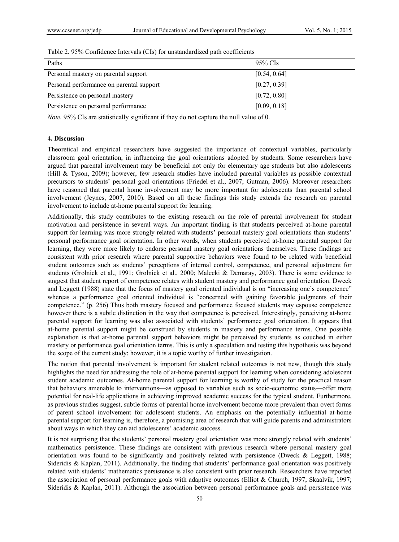| Table 2. 7770 Compactice microals (Cis) for unstandantized path coefficients |              |  |
|------------------------------------------------------------------------------|--------------|--|
| Paths                                                                        | 95% CIs      |  |
| Personal mastery on parental support                                         | [0.54, 0.64] |  |
| Personal performance on parental support                                     | [0.27, 0.39] |  |
| Persistence on personal mastery                                              | [0.72, 0.80] |  |
| Persistence on personal performance                                          | [0.09, 0.18] |  |

Table 2. 95% Confidence Intervals (CIs) for unstandardized path coefficients

*Note.* 95% CIs are statistically significant if they do not capture the null value of 0.

## **4. Discussion**

Theoretical and empirical researchers have suggested the importance of contextual variables, particularly classroom goal orientation, in influencing the goal orientations adopted by students. Some researchers have argued that parental involvement may be beneficial not only for elementary age students but also adolescents (Hill & Tyson, 2009); however, few research studies have included parental variables as possible contextual precursors to students' personal goal orientations (Friedel et al., 2007; Gutman, 2006). Moreover researchers have reasoned that parental home involvement may be more important for adolescents than parental school involvement (Jeynes, 2007, 2010). Based on all these findings this study extends the research on parental involvement to include at-home parental support for learning.

Additionally, this study contributes to the existing research on the role of parental involvement for student motivation and persistence in several ways. An important finding is that students perceived at-home parental support for learning was more strongly related with students' personal mastery goal orientations than students' personal performance goal orientation. In other words, when students perceived at-home parental support for learning, they were more likely to endorse personal mastery goal orientations themselves. These findings are consistent with prior research where parental supportive behaviors were found to be related with beneficial student outcomes such as students' perceptions of internal control, competence, and personal adjustment for students (Grolnick et al., 1991; Grolnick et al., 2000; Malecki & Demaray, 2003). There is some evidence to suggest that student report of competence relates with student mastery and performance goal orientation. Dweck and Leggett (1988) state that the focus of mastery goal oriented individual is on "increasing one's competence" whereas a performance goal oriented individual is "concerned with gaining favorable judgments of their competence." (p. 256) Thus both mastery focused and performance focused students may espouse competence however there is a subtle distinction in the way that competence is perceived. Interestingly, perceiving at-home parental support for learning was also associated with students' performance goal orientation. It appears that at-home parental support might be construed by students in mastery and performance terms. One possible explanation is that at-home parental support behaviors might be perceived by students as couched in either mastery or performance goal orientation terms. This is only a speculation and testing this hypothesis was beyond the scope of the current study; however, it is a topic worthy of further investigation.

The notion that parental involvement is important for student related outcomes is not new, though this study highlights the need for addressing the role of at-home parental support for learning when considering adolescent student academic outcomes. At-home parental support for learning is worthy of study for the practical reason that behaviors amenable to interventions—as opposed to variables such as socio-economic status—offer more potential for real-life applications in achieving improved academic success for the typical student. Furthermore, as previous studies suggest, subtle forms of parental home involvement become more prevalent than overt forms of parent school involvement for adolescent students. An emphasis on the potentially influential at-home parental support for learning is, therefore, a promising area of research that will guide parents and administrators about ways in which they can aid adolescents' academic success.

It is not surprising that the students' personal mastery goal orientation was more strongly related with students' mathematics persistence. These findings are consistent with previous research where personal mastery goal orientation was found to be significantly and positively related with persistence (Dweck & Leggett, 1988; Sideridis & Kaplan, 2011). Additionally, the finding that students' performance goal orientation was positively related with students' mathematics persistence is also consistent with prior research. Researchers have reported the association of personal performance goals with adaptive outcomes (Elliot & Church, 1997; Skaalvik, 1997; Sideridis & Kaplan, 2011). Although the association between personal performance goals and persistence was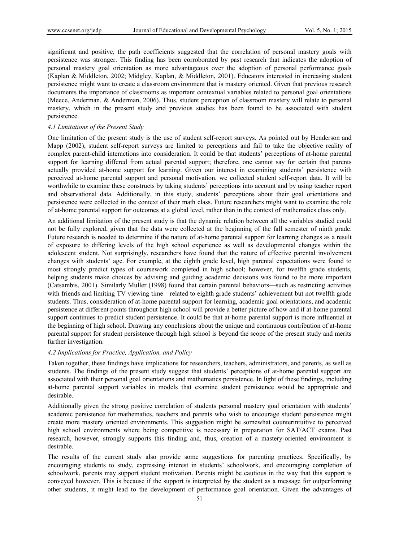significant and positive, the path coefficients suggested that the correlation of personal mastery goals with persistence was stronger. This finding has been corroborated by past research that indicates the adoption of personal mastery goal orientation as more advantageous over the adoption of personal performance goals (Kaplan & Middleton, 2002; Midgley, Kaplan, & Middleton, 2001). Educators interested in increasing student persistence might want to create a classroom environment that is mastery oriented. Given that previous research documents the importance of classrooms as important contextual variables related to personal goal orientations (Meece, Anderman, & Anderman, 2006). Thus, student perception of classroom mastery will relate to personal mastery, which in the present study and previous studies has been found to be associated with student persistence.

#### *4.1 Limitations of the Present Study*

One limitation of the present study is the use of student self-report surveys. As pointed out by Henderson and Mapp (2002), student self-report surveys are limited to perceptions and fail to take the objective reality of complex parent-child interactions into consideration. It could be that students' perceptions of at-home parental support for learning differed from actual parental support; therefore, one cannot say for certain that parents actually provided at-home support for learning. Given our interest in examining students' persistence with perceived at-home parental support and personal motivation, we collected student self-report data. It will be worthwhile to examine these constructs by taking students' perceptions into account and by using teacher report and observational data. Additionally, in this study, students' perceptions about their goal orientations and persistence were collected in the context of their math class. Future researchers might want to examine the role of at-home parental support for outcomes at a global level, rather than in the context of mathematics class only.

An additional limitation of the present study is that the dynamic relation between all the variables studied could not be fully explored, given that the data were collected at the beginning of the fall semester of ninth grade. Future research is needed to determine if the nature of at-home parental support for learning changes as a result of exposure to differing levels of the high school experience as well as developmental changes within the adolescent student. Not surprisingly, researchers have found that the nature of effective parental involvement changes with students' age. For example, at the eighth grade level, high parental expectations were found to most strongly predict types of coursework completed in high school; however, for twelfth grade students, helping students make choices by advising and guiding academic decisions was found to be more important (Catsambis, 2001). Similarly Muller (1998) found that certain parental behaviors—such as restricting activities with friends and limiting TV viewing time—related to eighth grade students' achievement but not twelfth grade students. Thus, consideration of at-home parental support for learning, academic goal orientations, and academic persistence at different points throughout high school will provide a better picture of how and if at-home parental support continues to predict student persistence. It could be that at-home parental support is more influential at the beginning of high school. Drawing any conclusions about the unique and continuous contribution of at-home parental support for student persistence through high school is beyond the scope of the present study and merits further investigation.

## *4.2 Implications for Practice, Application, and Policy*

Taken together, these findings have implications for researchers, teachers, administrators, and parents, as well as students. The findings of the present study suggest that students' perceptions of at-home parental support are associated with their personal goal orientations and mathematics persistence. In light of these findings, including at-home parental support variables in models that examine student persistence would be appropriate and desirable.

Additionally given the strong positive correlation of students personal mastery goal orientation with students' academic persistence for mathematics, teachers and parents who wish to encourage student persistence might create more mastery oriented environments. This suggestion might be somewhat counterintuitive to perceived high school environments where being competitive is necessary in preparation for SAT/ACT exams. Past research, however, strongly supports this finding and, thus, creation of a mastery-oriented environment is desirable.

The results of the current study also provide some suggestions for parenting practices. Specifically, by encouraging students to study, expressing interest in students' schoolwork, and encouraging completion of schoolwork, parents may support student motivation. Parents might be cautious in the way that this support is conveyed however. This is because if the support is interpreted by the student as a message for outperforming other students, it might lead to the development of performance goal orientation. Given the advantages of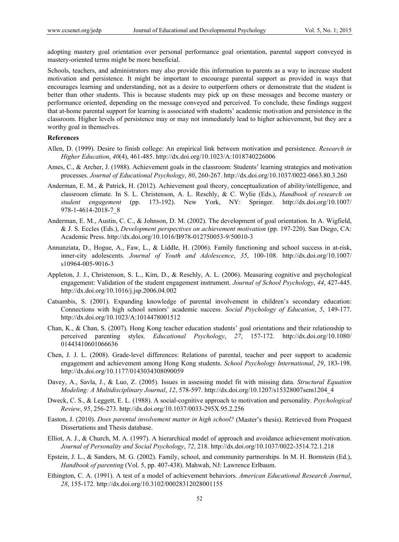adopting mastery goal orientation over personal performance goal orientation, parental support conveyed in mastery-oriented terms might be more beneficial.

Schools, teachers, and administrators may also provide this information to parents as a way to increase student motivation and persistence. It might be important to encourage parental support as provided in ways that encourages learning and understanding, not as a desire to outperform others or demonstrate that the student is better than other students. This is because students may pick up on these messages and become mastery or performance oriented, depending on the message conveyed and perceived. To conclude, these findings suggest that at-home parental support for learning is associated with students' academic motivation and persistence in the classroom. Higher levels of persistence may or may not immediately lead to higher achievement, but they are a worthy goal in themselves.

# **References**

- Allen, D. (1999). Desire to finish college: An empirical link between motivation and persistence. *Research in Higher Education*, *40*(4), 461-485. http://dx.doi.org/10.1023/A:1018740226006
- Ames, C., & Archer, J. (1988). Achievement goals in the classroom: Students' learning strategies and motivation processes. *Journal of Educational Psychology*, *80*, 260-267. http://dx.doi.org/10.1037/0022-0663.80.3.260
- Anderman, E. M., & Patrick, H. (2012). Achievement goal theory, conceptualization of ability/intelligence, and classroom climate. In S. L. Christenson, A. L. Reschly, & C. Wylie (Eds.), *Handbook of research on student engagement* (pp. 173-192). New York, NY: Springer. http://dx.doi.org/10.1007/ 978-1-4614-2018-7\_8
- Anderman, E. M., Austin, C. C., & Johnson, D. M. (2002). The development of goal orientation. In A. Wigfield, & J. S. Eccles (Eds.), *Development perspectives on achievement motivation* (pp. 197-220). San Diego, CA: Academic Press. http://dx.doi.org/10.1016/B978-012750053-9/50010-3
- Annunziata, D., Hogue, A., Faw, L., & Liddle, H. (2006). Family functioning and school success in at-risk, inner-city adolescents. *Journal of Youth and Adolescence*, *35*, 100-108. http://dx.doi.org/10.1007/ s10964-005-9016-3
- Appleton, J. J., Christenson, S. L., Kim, D., & Reschly, A. L. (2006). Measuring cognitive and psychological engagement: Validation of the student engagement instrument. *Journal of School Psychology*, *44*, 427-445. http://dx.doi.org/10.1016/j.jsp.2006.04.002
- Catsambis, S. (2001). Expanding knowledge of parental involvement in children's secondary education: Connections with high school seniors' academic success. *Social Psychology of Education*, *5*, 149-177. http://dx.doi.org/10.1023/A:1014478001512
- Chan, K., & Chan, S. (2007). Hong Kong teacher education students' goal orientations and their relationship to perceived parenting styles. *Educational Psychology*, *27*, 157-172. http://dx.doi.org/10.1080/ 01443410601066636
- Chen, J. J. L. (2008). Grade-level differences: Relations of parental, teacher and peer support to academic engagement and achievement among Hong Kong students. *School Psychology International*, *29*, 183-198. http://dx.doi.org/10.1177/0143034308090059
- Davey, A., Savla, J., & Luo, Z. (2005). Issues in assessing model fit with missing data. *Structural Equation Modeling: A Multidisciplinary Journal*, *12*, 578-597. http://dx.doi.org/10.1207/s15328007sem1204\_4
- Dweck, C. S., & Leggett, E. L. (1988). A social-cognitive approach to motivation and personality. *Psychological Review*, *95*, 256-273. http://dx.doi.org/10.1037/0033-295X.95.2.256
- Easton, J. (2010). *Does parental involvement matter in high school?* (Master's thesis). Retrieved from Proquest Dissertations and Thesis database.
- Elliot, A. J., & Church, M. A. (1997). A hierarchical model of approach and avoidance achievement motivation. *Journal of Personality and Social Psychology*, *72*, 218. http://dx.doi.org/10.1037/0022-3514.72.1.218
- Epstein, J. L., & Sanders, M. G. (2002). Family, school, and community partnerships. In M. H. Bornstein (Ed.), *Handbook of parenting* (Vol. 5, pp. 407-438). Mahwah, NJ: Lawrence Erlbaum.
- Ethington, C. A. (1991). A test of a model of achievement behaviors. *American Educational Research Journal*, *28*, 155-172. http://dx.doi.org/10.3102/00028312028001155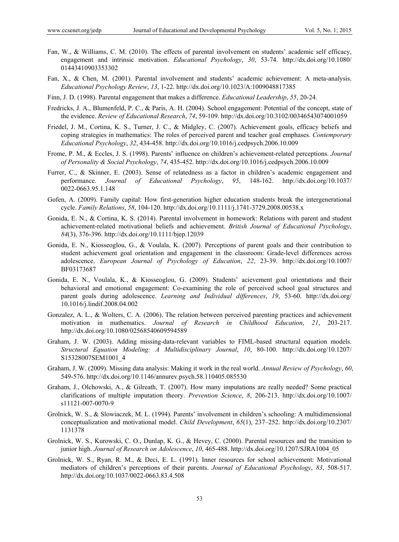- Fan, W., & Williams, C. M. (2010). The effects of parental involvement on students' academic self efficacy, engagement and intrinsic motivation. *Educational Psychology*, *30*, 53-74. http://dx.doi.org/10.1080/ 01443410903353302
- Fan, X., & Chen, M. (2001). Parental involvement and students' academic achievement: A meta-analysis. *Educational Psychology Review*, *13*, 1-22. http://dx.doi.org/10.1023/A:1009048817385
- Finn, J. D. (1998). Parental engagement that makes a difference. *Educational Leadership*, *55*, 20-24.
- Fredricks, J. A., Blumenfeld, P. C., & Paris, A. H. (2004). School engagement: Potential of the concept, state of the evidence. *Review of Educational Research*, *74*, 59-109. http://dx.doi.org/10.3102/00346543074001059
- Friedel, J. M., Cortina, K. S., Turner, J. C., & Midgley, C. (2007). Achievement goals, efficacy beliefs and coping strategies in mathematics: The roles of perceived parent and teacher goal emphases. *Contemporary Educational Psychology*, *32*, 434-458. http://dx.doi.org/10.1016/j.cedpsych.2006.10.009
- Frome, P. M., & Eccles, J. S. (1998). Parents' influence on children's achievement-related perceptions. *Journal of Personality & Social Psychology*, *74*, 435-452. http://dx.doi.org/10.1016/j.cedpsych.2006.10.009
- Furrer, C., & Skinner, E. (2003). Sense of relatedness as a factor in children's academic engagement and performance. *Journal of Educational Psychology*, *95*, 148-162. http://dx.doi.org/10.1037/ 0022-0663.95.1.148
- Gofen, A. (2009). Family capital: How first-generation higher education students break the intergenerational cycle. *Family Relations*, *58*, 104-120. http://dx.doi.org/10.1111/j.1741-3729.2008.00538.x
- Gonida, E. N., & Cortina, K. S. (2014). Parental involvement in homework: Relations with parent and student achievement-related motivational beliefs and achievement. *British Journal of Educational Psychology*, *84*(3), 376-396. http://dx.doi.org/10.1111/bjep.12039
- Gonida, E. N., Kiosseoglou, G., & Voulala, K. (2007). Perceptions of parent goals and their contribution to student achievement goal orientation and engagement in the classroom: Grade-level differences across adolescence. *European Journal of Psychology of Education*, *22*, 23-39. http://dx.doi.org/10.1007/ BF03173687
- Gonida, E. N., Voulala, K., & Kiosseoglou, G. (2009). Students' acievement goal orientations and their behavioral and emotional engagement: Co-examining the role of perceived school goal structures and parent goals during adolescence. *Learning and Individual differences*, *19*, 53-60. http://dx.doi.org/ 10.1016/j.lindif.2008.04.002
- Gonzalez, A. L., & Wolters, C. A. (2006). The relation between perceived parenting practices and achievement motivation in mathematics. *Journal of Research in Childhood Education*, *21*, 203-217. http://dx.doi.org/10.1080/02568540609594589
- Graham, J. W. (2003). Adding missing-data-relevant variables to FIML-based structural equation models. *Structural Equation Modeling: A Multidisciplinary Journal*, *10*, 80-100. http://dx.doi.org/10.1207/ S15328007SEM1001\_4
- Graham, J. W. (2009). Missing data analysis: Making it work in the real world. *Annual Review of Psychology*, *60*, 549-576. http://dx.doi.org/10.1146/annurev.psych.58.110405.085530
- Graham, J., Olchowski, A., & Gilreath, T. (2007). How many imputations are really needed? Some practical clarifications of multiple imputation theory. *Prevention Science*, *8*, 206-213. http://dx.doi.org/10.1007/ s11121-007-0070-9
- Grolnick, W. S., & Slowiaczek, M. L. (1994). Parents' involvement in children's schooling: A multidimensional conceptualization and motivational model. *Child Development*, *65*(1), 237–252. http://dx.doi.org/10.2307/ 1131378
- Grolnick, W. S., Kurowski, C. O., Dunlap, K. G., & Hevey, C. (2000). Parental resources and the transition to junior high. *Journal of Research on Adolescence*, *10*, 465-488. http://dx.doi.org/10.1207/SJRA1004\_05
- Grolnick, W. S., Ryan, R. M., & Deci, E. L. (1991). Inner resources for school achievement: Motivational mediators of children's perceptions of their parents. *Journal of Educational Psychology*, *83*, 508-517. http://dx.doi.org/10.1037/0022-0663.83.4.508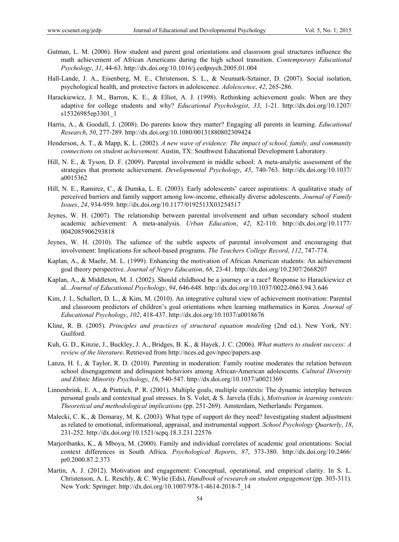- Gutman, L. M. (2006). How student and parent goal orientations and classroom goal structures influence the math achievement of African Americans during the high school transition. *Contemporary Educational Psychology*, *31*, 44-63. http://dx.doi.org/10.1016/j.cedpsych.2005.01.004
- Hall-Lande, J. A., Eisenberg, M. E., Christenson, S. L., & Neumark-Sztainer, D. (2007). Social isolation, psychological health, and protective factors in adolescence. *Adolescence*, *42*, 265-286.
- Harackiewicz, J. M., Barron, K. E., & Elliot, A. J. (1998). Rethinking achievement goals: When are they adaptive for college students and why? *Educational Psychologist*, *33*, 1-21. http://dx.doi.org/10.1207/ s15326985ep3301\_1
- Harris, A., & Goodall, J. (2008). Do parents know they matter? Engaging all parents in learning. *Educational Research*, *50*, 277-289. http://dx.doi.org/10.1080/00131880802309424
- Henderson, A. T., & Mapp, K. L. (2002). *A new wave of evidence: The impact of school, family, and community connections on student achievement*. Austin, TX: Southwest Educational Development Laboratory.
- Hill, N. E., & Tyson, D. F. (2009). Parental involvement in middle school: A meta-analytic assessment of the strategies that promote achievement. *Developmental Psychology*, *45*, 740-763. http://dx.doi.org/10.1037/ a0015362
- Hill, N. E., Ramirez, C., & Dumka, L. E. (2003). Early adolescents' career aspirations: A qualitative study of perceived barriers and family support among low-income, ethnically diverse adolescents. *Journal of Family Issues*, *24*, 934-959. http://dx.doi.org/10.1177/0192513X03254517
- Jeynes, W. H. (2007). The relationship between parental involvement and urban secondary school student academic achievement: A meta-analysis. *Urban Education*, *42*, 82-110. http://dx.doi.org/10.1177/ 0042085906293818
- Jeynes, W. H. (2010). The salience of the subtle aspects of parental involvement and encouraging that involvement: Implications for school-based programs. *The Teachers College Record*, *112*, 747-774.
- Kaplan, A., & Maehr, M. L. (1999). Enhancing the motivation of African American students: An achievement goal theory perspective. *Journal of Negro Education*, *68*, 23-41. http://dx.doi.org/10.2307/2668207
- Kaplan, A., & Middleton, M. J. (2002). Should childhood be a journey or a race? Response to Harackiewicz et al.. *Journal of Educational Psychology*, *94*, 646-648. http://dx.doi.org/10.1037/0022-0663.94.3.646
- Kim, J. I., Schallert, D. L., & Kim, M. (2010). An integrative cultural view of achievement motivation: Parental and classroom predictors of children's goal orientations when learning mathematics in Korea. *Journal of Educational Psychology*, *102*, 418-437. http://dx.doi.org/10.1037/a0018676
- Kline, R. B. (2005). *Principles and practices of structural equation modeling* (2nd ed.). New York, NY: Guilford.
- Kuh, G. D., Kinzie, J., Buckley, J. A., Bridges, B. K., & Hayek, J. C. (2006). *What matters to student success: A review of the literature*. Retrieved from http://nces.ed.gov/npec/papers.asp
- Lanza, H. I., & Taylor, R. D. (2010). Parenting in moderation: Family routine moderates the relation between school disengagement and delinquent behaviors among African-American adolescents. *Cultural Diversity and Ethnic Minority Psychology*, *16*, 540-547. http://dx.doi.org/10.1037/a0021369
- Linnenbrink, E. A., & Pintrich, P. R. (2001). Multiple goals, multiple contexts: The dynamic interplay between personal goals and contextual goal stresses. In S. Volet, & S. Jarvela (Eds.), *Motivation in learning contexts: Theoretical and methodological implications* (pp. 251-269). Amsterdam, Netherlands: Pergamon.
- Malecki, C. K., & Demaray, M. K. (2003). What type of support do they need? Investigating student adjustment as related to emotional, informational, appraisal, and instrumental support. *School Psychology Quarterly*, *18*, 231-252. http://dx.doi.org/10.1521/scpq.18.3.231.22576
- Marjoribanks, K., & Mboya, M. (2000). Family and individual correlates of academic goal orientations: Social context differences in South Africa. *Psychological Reports*, *87*, 373-380. http://dx.doi.org/10.2466/ pr0.2000.87.2.373
- Martin, A. J. (2012). Motivation and engagement: Conceptual, operational, and empirical clarity. In S. L. Christenson, A. L. Reschly, & C. Wylie (Eds), *Handbook of research on student engagement* (pp. 303-311). New York: Springer. http://dx.doi.org/10.1007/978-1-4614-2018-7\_14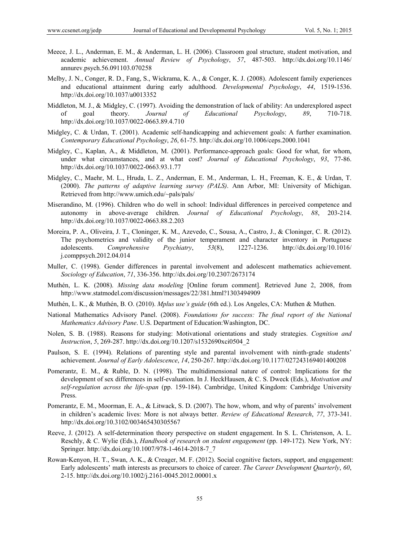- Meece, J. L., Anderman, E. M., & Anderman, L. H. (2006). Classroom goal structure, student motivation, and academic achievement. *Annual Review of Psychology*, *57*, 487-503. http://dx.doi.org/10.1146/ annurev.psych.56.091103.070258
- Melby, J. N., Conger, R. D., Fang, S., Wickrama, K. A., & Conger, K. J. (2008). Adolescent family experiences and educational attainment during early adulthood. *Developmental Psychology*, *44*, 1519-1536. http://dx.doi.org/10.1037/a0013352
- Middleton, M. J., & Midgley, C. (1997). Avoiding the demonstration of lack of ability: An underexplored aspect of goal theory. *Journal of Educational Psychology*, *89*, 710-718. http://dx.doi.org/10.1037/0022-0663.89.4.710
- Midgley, C. & Urdan, T. (2001). Academic self-handicapping and achievement goals: A further examination. *Contemporary Educational Psychology*, *26*, 61-75. http://dx.doi.org/10.1006/ceps.2000.1041
- Midgley, C., Kaplan, A., & Middleton, M. (2001). Performance-approach goals: Good for what, for whom, under what circumstances, and at what cost? *Journal of Educational Psychology*, *93*, 77-86. http://dx.doi.org/10.1037/0022-0663.93.1.77
- Midgley, C., Maehr, M. L., Hruda, L. Z., Anderman, E. M., Anderman, L. H., Freeman, K. E., & Urdan, T. (2000). *The patterns of adaptive learning survey (PALS)*. Ann Arbor, MI: University of Michigan. Retrieved from http://www.umich.edu/~pals/pals/
- Miserandino, M. (1996). Children who do well in school: Individual differences in perceived competence and autonomy in above-average children. *Journal of Educational Psychology*, *88*, 203-214. http://dx.doi.org/10.1037/0022-0663.88.2.203
- Moreira, P. A., Oliveira, J. T., Cloninger, K. M., Azevedo, C., Sousa, A., Castro, J., & Cloninger, C. R. (2012). The psychometrics and validity of the junior temperament and character inventory in Portuguese adolescents. *Comprehensive Psychiatry*, *53*(8), 1227-1236. http://dx.doi.org/10.1016/ j.comppsych.2012.04.014
- Muller, C. (1998). Gender differences in parental involvement and adolescent mathematics achievement. *Sociology of Education*, *71*, 336-356. http://dx.doi.org/10.2307/2673174
- Muthén, L. K. (2008). *Missing data modeling* [Online forum comment]. Retrieved June 2, 2008, from http://www.statmodel.com/discussion/messages/22/381.html?1303494909
- Muthén, L. K., & Muthén, B. O. (2010). *Mplus use's guide* (6th ed.). Los Angeles, CA: Muthen & Muthen.
- National Mathematics Advisory Panel. (2008). *Foundations for success: The final report of the National Mathematics Advisory Pane*. U.S. Department of Education:Washington, DC.
- Nolen, S. B. (1988). Reasons for studying: Motivational orientations and study strategies. *Cognition and Instruction*, *5*, 269-287. http://dx.doi.org/10.1207/s1532690xci0504\_2
- Paulson, S. E. (1994). Relations of parenting style and parental involvement with ninth-grade students' achievement. *Journal of Early Adolescence*, *14*, 250-267. http://dx.doi.org/10.1177/027243169401400208
- Pomerantz, E. M., & Ruble, D. N. (1998). The multidimensional nature of control: Implications for the development of sex differences in self-evaluation. In J. HeckHausen, & C. S. Dweck (Eds.), *Motivation and self-regulation across the life-span* (pp. 159-184). Cambridge, United Kingdom: Cambridge University Press.
- Pomerantz, E. M., Moorman, E. A., & Litwack, S. D. (2007). The how, whom, and why of parents' involvement in children's academic lives: More is not always better. *Review of Educational Research*, *77*, 373-341. http://dx.doi.org/10.3102/003465430305567
- Reeve, J. (2012). A self-determination theory perspective on student engagement. In S. L. Christenson, A. L. Reschly, & C. Wylie (Eds.), *Handbook of research on student engagement* (pp. 149-172). New York, NY: Springer. http://dx.doi.org/10.1007/978-1-4614-2018-7\_7
- Rowan‐Kenyon, H. T., Swan, A. K., & Creager, M. F. (2012). Social cognitive factors, support, and engagement: Early adolescents' math interests as precursors to choice of career. *The Career Development Quarterly*, *60*, 2-15. http://dx.doi.org/10.1002/j.2161-0045.2012.00001.x